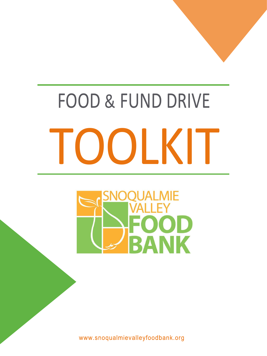



# FOOD BANK

www.snoqualmievalleyfoodbank.org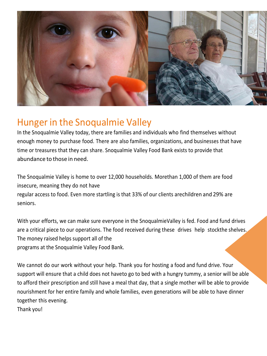

## Hunger in the Snoqualmie Valley

In the Snoqualmie Valley today, there are families and individuals who find themselves without enough money to purchase food. There are also families, organizations, and businesses that have time or treasures that they can share. Snoqualmie Valley Food Bank exists to provide that abundance to those in need.

The Snoqualmie Valley is home to over 12,000 households. Morethan 1,000 of them are food insecure, meaning they do not have regular access to food. Even more startling is that 33% of our clients arechildren and 29% are seniors.

With your efforts, we can make sure everyone in the SnoqualmieValley is fed. Food and fund drives are a critical piece to our operations. The food received during these drives help stockthe shelves. The money raised helps support all of the programs at the Snoqualmie Valley Food Bank.

We cannot do our work without your help. Thank you for hosting a food and fund drive. Your support will ensure that a child does not haveto go to bed with a hungry tummy, a senior will be able to afford their prescription and still have a meal that day, that a single mother will be able to provide nourishment for her entire family and whole families, even generations will be able to have dinner together this evening.

Thank you!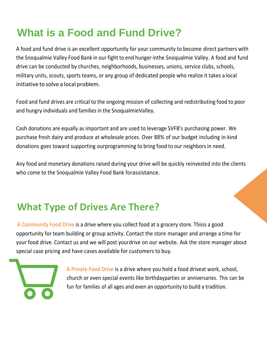## **What is a Food and Fund Drive?**

Food and fund drives are critical to the ongoing mission of collecting and redistributing food to poor and hungry individuals and families in the SnoqualmieValley.

A food and fund drive is an excellent opportunity for your community to become direct partners with the Snoqualmie Valley Food Bank in our fight to end hunger inthe Snoqualmie Valley. A food and fund drive can be conducted by churches, neighborhoods, businesses, unions, service clubs, schools, military units, scouts, sports teams, or any group of dedicated people who realize it takes a local initiative to solve a local problem.

Cash donations are equally as important and are used to leverage SVFB's purchasing power. We purchase fresh dairy and produce at wholesale prices. Over 88% of our budget including in-kind donations goes toward supporting ourprogramming to bring food to our neighbors in need.

Any food and monetary donations raised during your drive will be quickly reinvested into the clients who come to the Snoqualmie Valley Food Bank forassistance.

## **What Type of Drives Are There?**

A Community Food Drive is a drive where you collect food at a grocery store. Thisis a good opportunity for team building or group activity. Contact the store manager and arrange a time for your food drive. Contact us and we will post yourdrive on our website. Ask the store manager about special case pricing and have cases available for customersto buy.



A Private Food Drive is a drive where you hold a food driveat work, school, church or even special events like birthdayparties or anniversaries. This can be fun for families of all ages and even an opportunity to build a tradition.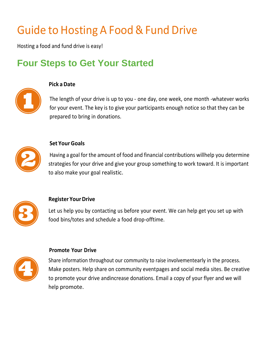## Guide to Hosting A Food & Fund Drive

Hosting a food and fund drive is easy!

## **Four Steps to Get Your Started**



#### **Pick a Date**

The length of your drive is up to you - one day, one week, one month -whatever works for your event. The key is to give your participants enough notice so that they can be prepared to bring in donations.



#### **Set Your Goals**

Having a goal for the amount of food and financial contributions willhelp you determine strategies for your drive and give your group something to work toward. It is important to also make your goal realistic.



#### **Register Your Drive**

Let us help you by contacting us before your event. We can help get you set up with food bins/totes and schedule a food drop-offtime.

#### **Promote Your Drive**



Share information throughout our community to raise involvementearly in the process. Make posters. Help share on community eventpages and social media sites. Be creative to promote your drive andincrease donations. Email a copy of your flyer and we will help promote.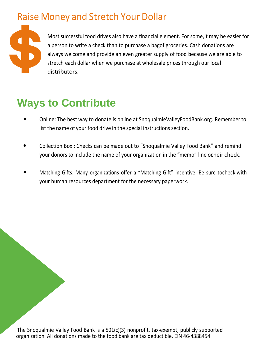## Raise Money and Stretch Your Dollar

Most successful food drives also have a financial element. For some,it may be easier for a person to write a check than to purchase a bagof groceries. Cash donations are always welcome and provide an even greater supply of food because we are able to stretch each dollar when we purchase at wholesale prices through our local distributors.

## **Ways to Contribute**

- Online: The best way to donate is online at SnoqualmieValleyFoodBank.org. Remember to list the name of your food drive in the special instructions section.
- Collection Box : Checks can be made out to "Snoqualmie Valley Food Bank" and remind your donors to include the name of your organization in the "memo" line otheir check.
- Matching Gifts: Many organizations offer a "Matching Gift" incentive. Be sure tocheck with your human resources department for the necessary paperwork.

The Snoqualmie Valley Food Bank is a 501(c)(3) nonprofit, tax-exempt, publicly supported organization. All donations made to the food bank are tax deductible. EIN 46-4388454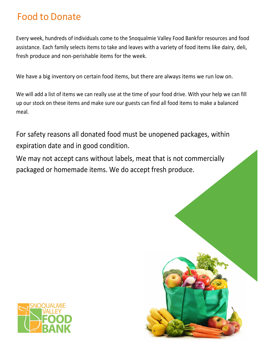### Food to Donate

Every week, hundreds of individuals come to the Snoqualmie Valley Food Bankfor resources and food assistance. Each family selects items to take and leaves with a variety of food items like dairy, deli, fresh produce and non-perishable items for the week.

We have a big inventory on certain food items, but there are always items we run low on.

We may not accept cans without labels, meat that is not commercially packaged or homemade items. We do accept fresh produce.





We will add a list of items we can really use at the time of your food drive. With your help we can fill up our stock on these items and make sure our guests can find all food items to make a balanced meal.

For safety reasons all donated food must be unopened packages, within expiration date and in good condition.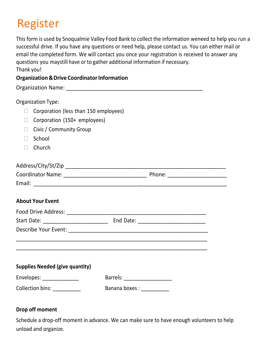## Register

This form is used by Snoqualmie Valley Food Bank to collect the information weneed to help you run a successful drive. If you have any questions or need help, please contact us. You can either mail or email the completed form. We will contact you once your registration is received to answer any questions you maystill have or to gather additional information if necessary. Thank you!

#### **Organization & Drive Coordinator Information**

- Corporation (less than 150 employees)
- □ Corporation (150+ employees)
- $\Box$  Civic / Community Group
- □ School
- □ Church

Organization Name: \_\_\_\_\_\_\_\_\_\_\_\_\_\_\_\_\_\_\_\_\_\_\_\_\_\_\_\_\_\_\_\_\_\_\_\_\_\_\_\_\_\_\_\_\_\_

Organization Type:

| Address/City/St/Zip      |        |  |
|--------------------------|--------|--|
| <b>Coordinator Name:</b> | Phone: |  |
| Email:                   |        |  |

#### **About Your Event**

| Food Drive Address: 2008 - 2009 - 2010 - 2010 - 2010 - 2010 - 2010 - 2010 - 2010 - 2010 - 2010 - 2010 - 2010 - 2010 - 2010 - 2010 - 2010 - 2010 - 2010 - 2010 - 2010 - 2010 - 2010 - 2010 - 2010 - 2010 - 2010 - 2010 - 2010 - |                                |
|--------------------------------------------------------------------------------------------------------------------------------------------------------------------------------------------------------------------------------|--------------------------------|
|                                                                                                                                                                                                                                |                                |
|                                                                                                                                                                                                                                |                                |
|                                                                                                                                                                                                                                |                                |
|                                                                                                                                                                                                                                |                                |
|                                                                                                                                                                                                                                |                                |
| <b>Supplies Needed (give quantity)</b>                                                                                                                                                                                         |                                |
| Envelopes: ______________                                                                                                                                                                                                      | Barrels: _____________________ |
| Collection bins: ___________                                                                                                                                                                                                   | Banana boxes : ___________     |
|                                                                                                                                                                                                                                |                                |

#### **Drop off moment**

Schedule a drop-off moment in advance. We can make sure to have enough volunteers to help unload and organize.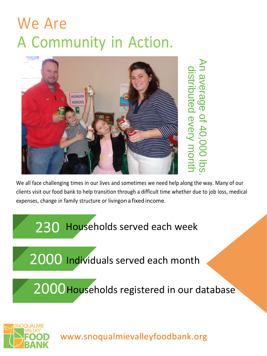## We Are A Community in Action.

We all face challenging times in our lives and sometimes we need help along the way. Many of our clients visit our food bank to help transition through a difficult time whether due to job loss, medical expenses, change in family structure or livingon a fixed income.

## $\overline{\mathcal{D}}$ 2000Households registered in our database





## 230 Households served each week

#### 2000 Individuals served each month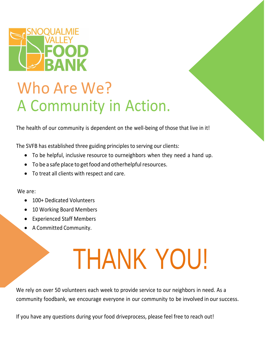

## Who Are We? A Community in Action.

The health of our community is dependent on the well-being of those that live in it!

- To be helpful, inclusive resource to ourneighbors when they need a hand up.
- To be a safe place to get food and otherhelpful resources.
- To treat all clients with respect and care.

The SVFB has established three guiding principles to serving our clients:

- 100+ Dedicated Volunteers
- 10 Working Board Members
- Experienced Staff Members
- A Committed Community.

We rely on over 50 volunteers each week to provide service to our neighbors in need. As a community foodbank, we encourage everyone in our community to be involved in oursuccess.

We are:

# THANK YOU!

If you have any questions during your food driveprocess, please feel free to reach out!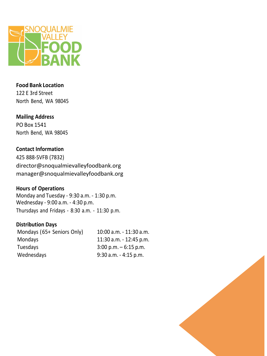

#### **Food Bank Location**

122 E 3rd Street North Bend, WA 98045

#### **Mailing Address**

PO Box 1541 North Bend, WA 98045

#### **Contact Information**

425 888-SVFB (7832) [director@snoqualmievalleyfoodbank.org](mailto:director@snoqualmievalleyfoodbank.org) manager@snoqualmievalleyfoodbank.org

#### **Hours of Operations**

Monday and Tuesday - 9:30 a.m. - 1:30 p.m. Wednesday - 9:00 a.m. - 4:30 p.m. Thursdays and Fridays - 8:30 a.m. - 11:30 p.m.

#### **Distribution Days**

Mondays (65+ Seniors Only) 10:00 a.m. - 11:30 a.m. Mondays 11:30 a.m. - 12:45 p.m. Tuesdays 3:00 p.m. – 6:15 p.m. Wednesdays 9:30 a.m. - 4:15 p.m.